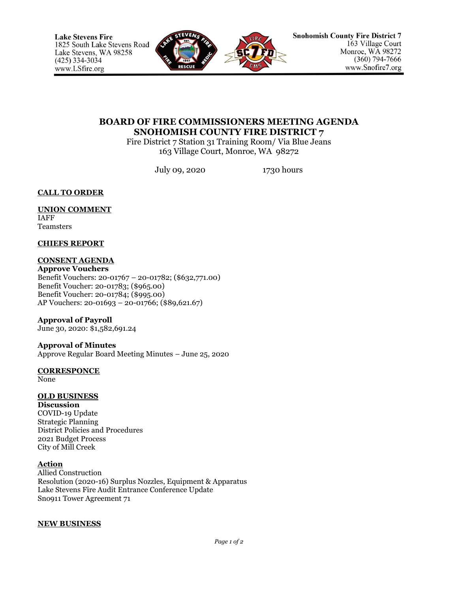

# **BOARD OF FIRE COMMISSIONERS MEETING AGENDA SNOHOMISH COUNTY FIRE DISTRICT 7**

Fire District 7 Station 31 Training Room/ Via Blue Jeans 163 Village Court, Monroe, WA 98272

July 09, 2020 1730 hours

## **CALL TO ORDER**

#### **UNION COMMENT** IAFF

Teamsters

### **CHIEFS REPORT**

## **CONSENT AGENDA**

**Approve Vouchers** Benefit Vouchers: 20-01767 – 20-01782; (\$632,771.00) Benefit Voucher: 20-01783; (\$965.00) Benefit Voucher: 20-01784; (\$995.00) AP Vouchers: 20-01693 – 20-01766; (\$89,621.67)

## **Approval of Payroll**

June 30, 2020: \$1,582,691.24

#### **Approval of Minutes** Approve Regular Board Meeting Minutes – June 25, 2020

## **CORRESPONCE**

None

# **OLD BUSINESS**

**Discussion** COVID-19 Update Strategic Planning District Policies and Procedures 2021 Budget Process City of Mill Creek

### **Action**

Allied Construction Resolution (2020-16) Surplus Nozzles, Equipment & Apparatus Lake Stevens Fire Audit Entrance Conference Update Sno911 Tower Agreement 71

## **NEW BUSINESS**